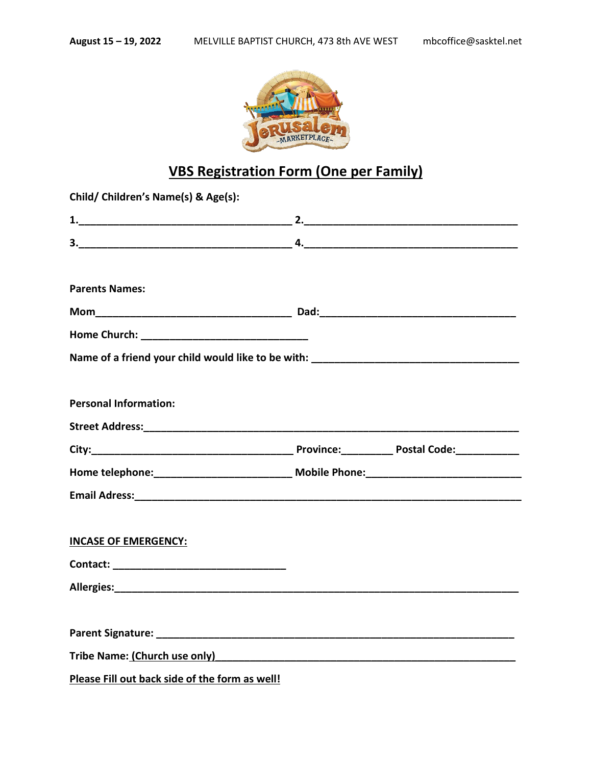

## **VBS Registration Form (One per Family)**

| Child/ Children's Name(s) & Age(s):                            |  |
|----------------------------------------------------------------|--|
|                                                                |  |
|                                                                |  |
| <b>Parents Names:</b>                                          |  |
|                                                                |  |
|                                                                |  |
|                                                                |  |
|                                                                |  |
| <b>Personal Information:</b>                                   |  |
|                                                                |  |
|                                                                |  |
|                                                                |  |
|                                                                |  |
|                                                                |  |
| <b>INCASE OF EMERGENCY:</b>                                    |  |
|                                                                |  |
|                                                                |  |
|                                                                |  |
|                                                                |  |
| Tribe Name: (Church use only)<br>Tribe Name: (Church use only) |  |
| Please Fill out back side of the form as well!                 |  |